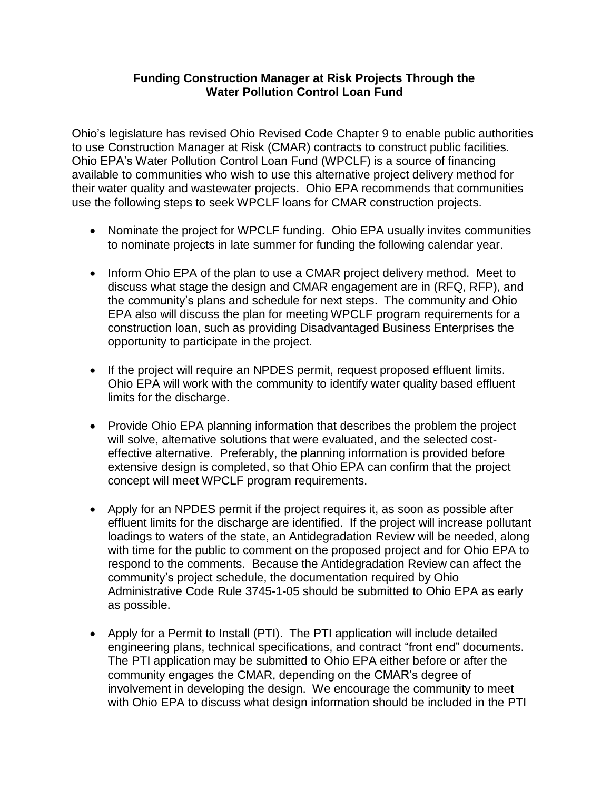## **Funding Construction Manager at Risk Projects Through the Water Pollution Control Loan Fund**

Ohio's legislature has revised Ohio Revised Code Chapter 9 to enable public authorities to use Construction Manager at Risk (CMAR) contracts to construct public facilities. Ohio EPA's Water Pollution Control Loan Fund (WPCLF) is a source of financing available to communities who wish to use this alternative project delivery method for their water quality and wastewater projects. Ohio EPA recommends that communities use the following steps to seek WPCLF loans for CMAR construction projects.

- Nominate the project for WPCLF funding. Ohio EPA usually invites communities to nominate projects in late summer for funding the following calendar year.
- Inform Ohio EPA of the plan to use a CMAR project delivery method. Meet to discuss what stage the design and CMAR engagement are in (RFQ, RFP), and the community's plans and schedule for next steps. The community and Ohio EPA also will discuss the plan for meeting WPCLF program requirements for a construction loan, such as providing Disadvantaged Business Enterprises the opportunity to participate in the project.
- If the project will require an NPDES permit, request proposed effluent limits. Ohio EPA will work with the community to identify water quality based effluent limits for the discharge.
- Provide Ohio EPA planning information that describes the problem the project will solve, alternative solutions that were evaluated, and the selected costeffective alternative. Preferably, the planning information is provided before extensive design is completed, so that Ohio EPA can confirm that the project concept will meet WPCLF program requirements.
- Apply for an NPDES permit if the project requires it, as soon as possible after effluent limits for the discharge are identified. If the project will increase pollutant loadings to waters of the state, an Antidegradation Review will be needed, along with time for the public to comment on the proposed project and for Ohio EPA to respond to the comments. Because the Antidegradation Review can affect the community's project schedule, the documentation required by Ohio Administrative Code Rule 3745-1-05 should be submitted to Ohio EPA as early as possible.
- Apply for a Permit to Install (PTI). The PTI application will include detailed engineering plans, technical specifications, and contract "front end" documents. The PTI application may be submitted to Ohio EPA either before or after the community engages the CMAR, depending on the CMAR's degree of involvement in developing the design. We encourage the community to meet with Ohio EPA to discuss what design information should be included in the PTI